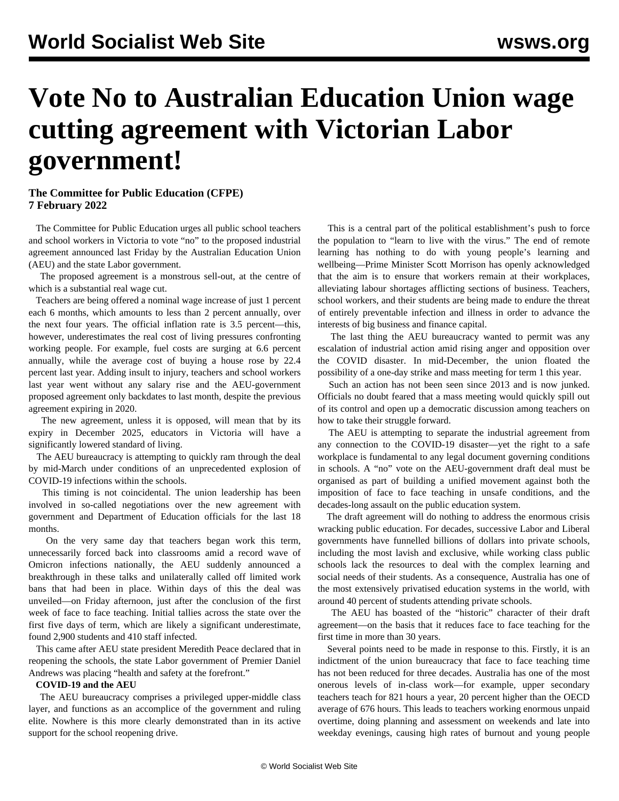# **Vote No to Australian Education Union wage cutting agreement with Victorian Labor government!**

### **The Committee for Public Education (CFPE) 7 February 2022**

 The Committee for Public Education urges all public school teachers and school workers in Victoria to vote "no" to the proposed industrial agreement announced last Friday by the Australian Education Union (AEU) and the state Labor government.

 The proposed agreement is a monstrous sell-out, at the centre of which is a substantial real wage cut.

 Teachers are being offered a nominal wage increase of just 1 percent each 6 months, which amounts to less than 2 percent annually, over the next four years. The official inflation rate is 3.5 percent—this, however, underestimates the real cost of living pressures confronting working people. For example, fuel costs are surging at 6.6 percent annually, while the average cost of buying a house rose by 22.4 percent last year. Adding insult to injury, teachers and school workers last year went without any salary rise and the AEU-government proposed agreement only backdates to last month, despite the previous agreement expiring in 2020.

 The new agreement, unless it is opposed, will mean that by its expiry in December 2025, educators in Victoria will have a significantly lowered standard of living.

 The AEU bureaucracy is attempting to quickly ram through the deal by mid-March under conditions of an unprecedented explosion of COVID-19 infections within the schools.

 This timing is not coincidental. The union leadership has been involved in so-called negotiations over the new agreement with government and Department of Education officials for the last 18 months.

 On the very same day that teachers began work this term, unnecessarily forced back into classrooms amid a record wave of Omicron infections nationally, the AEU suddenly announced a breakthrough in these talks and unilaterally called off limited work bans that had been in place. Within days of this the deal was unveiled—on Friday afternoon, just after the conclusion of the first week of face to face teaching. Initial tallies across the state over the first five days of term, which are likely a significant underestimate, found 2,900 students and 410 staff infected.

 This came after AEU state president Meredith Peace declared that in reopening the schools, the state Labor government of Premier Daniel Andrews was placing "health and safety at the forefront."

#### **COVID-19 and the AEU**

 The AEU bureaucracy comprises a privileged upper-middle class layer, and functions as an accomplice of the government and ruling elite. Nowhere is this more clearly demonstrated than in its active support for the school reopening drive.

 This is a central part of the political establishment's push to force the population to "learn to live with the virus." The end of remote learning has nothing to do with young people's learning and wellbeing—Prime Minister Scott Morrison has openly acknowledged that the aim is to ensure that workers remain at their workplaces, alleviating labour shortages afflicting sections of business. Teachers, school workers, and their students are being made to endure the threat of entirely preventable infection and illness in order to advance the interests of big business and finance capital.

 The last thing the AEU bureaucracy wanted to permit was any escalation of industrial action amid rising anger and opposition over the COVID disaster. In mid-December, the union floated the possibility of a one-day strike and mass meeting for term 1 this year.

 Such an action has not been seen since 2013 and is now junked. Officials no doubt feared that a mass meeting would quickly spill out of its control and open up a democratic discussion among teachers on how to take their struggle forward.

 The AEU is attempting to separate the industrial agreement from any connection to the COVID-19 disaster—yet the right to a safe workplace is fundamental to any legal document governing conditions in schools. A "no" vote on the AEU-government draft deal must be organised as part of building a unified movement against both the imposition of face to face teaching in unsafe conditions, and the decades-long assault on the public education system.

 The draft agreement will do nothing to address the enormous crisis wracking public education. For decades, successive Labor and Liberal governments have funnelled billions of dollars into private schools, including the most lavish and exclusive, while working class public schools lack the resources to deal with the complex learning and social needs of their students. As a consequence, Australia has one of the most extensively privatised education systems in the world, with around 40 percent of students attending private schools.

 The AEU has boasted of the "historic" character of their draft agreement—on the basis that it reduces face to face teaching for the first time in more than 30 years.

 Several points need to be made in response to this. Firstly, it is an indictment of the union bureaucracy that face to face teaching time has not been reduced for three decades. Australia has one of the most onerous levels of in-class work—for example, upper secondary teachers teach for 821 hours a year, 20 percent higher than the OECD average of 676 hours. This leads to teachers working enormous unpaid overtime, doing planning and assessment on weekends and late into weekday evenings, causing high rates of burnout and young people